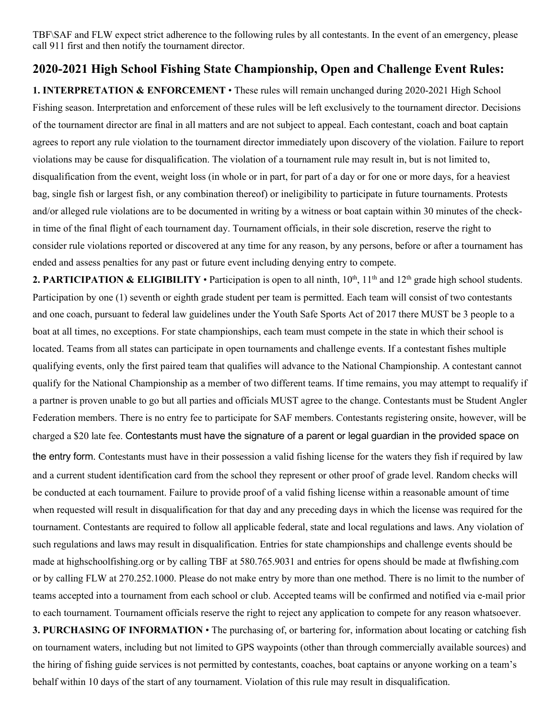TBF\SAF and FLW expect strict adherence to the following rules by all contestants. In the event of an emergency, please call 911 first and then notify the tournament director.

## **2020-2021 High School Fishing State Championship, Open and Challenge Event Rules:**

**1. INTERPRETATION & ENFORCEMENT** • These rules will remain unchanged during 2020-2021 High School Fishing season. Interpretation and enforcement of these rules will be left exclusively to the tournament director. Decisions of the tournament director are final in all matters and are not subject to appeal. Each contestant, coach and boat captain agrees to report any rule violation to the tournament director immediately upon discovery of the violation. Failure to report violations may be cause for disqualification. The violation of a tournament rule may result in, but is not limited to, disqualification from the event, weight loss (in whole or in part, for part of a day or for one or more days, for a heaviest bag, single fish or largest fish, or any combination thereof) or ineligibility to participate in future tournaments. Protests and/or alleged rule violations are to be documented in writing by a witness or boat captain within 30 minutes of the checkin time of the final flight of each tournament day. Tournament officials, in their sole discretion, reserve the right to consider rule violations reported or discovered at any time for any reason, by any persons, before or after a tournament has ended and assess penalties for any past or future event including denying entry to compete.

**2. PARTICIPATION & ELIGIBILITY** • Participation is open to all ninth,  $10^{th}$ ,  $11^{th}$  and  $12^{th}$  grade high school students. Participation by one (1) seventh or eighth grade student per team is permitted. Each team will consist of two contestants and one coach, pursuant to federal law guidelines under the Youth Safe Sports Act of 2017 there MUST be 3 people to a boat at all times, no exceptions. For state championships, each team must compete in the state in which their school is located. Teams from all states can participate in open tournaments and challenge events. If a contestant fishes multiple qualifying events, only the first paired team that qualifies will advance to the National Championship. A contestant cannot qualify for the National Championship as a member of two different teams. If time remains, you may attempt to requalify if a partner is proven unable to go but all parties and officials MUST agree to the change. Contestants must be Student Angler Federation members. There is no entry fee to participate for SAF members. Contestants registering onsite, however, will be charged a \$20 late fee. Contestants must have the signature of a parent or legal guardian in the provided space on the entry form. Contestants must have in their possession a valid fishing license for the waters they fish if required by law and a current student identification card from the school they represent or other proof of grade level. Random checks will be conducted at each tournament. Failure to provide proof of a valid fishing license within a reasonable amount of time when requested will result in disqualification for that day and any preceding days in which the license was required for the tournament. Contestants are required to follow all applicable federal, state and local regulations and laws. Any violation of such regulations and laws may result in disqualification. Entries for state championships and challenge events should be made at highschoolfishing.org or by calling TBF at 580.765.9031 and entries for opens should be made at flwfishing.com or by calling FLW at 270.252.1000. Please do not make entry by more than one method. There is no limit to the number of teams accepted into a tournament from each school or club. Accepted teams will be confirmed and notified via e-mail prior to each tournament. Tournament officials reserve the right to reject any application to compete for any reason whatsoever. **3. PURCHASING OF INFORMATION** • The purchasing of, or bartering for, information about locating or catching fish on tournament waters, including but not limited to GPS waypoints (other than through commercially available sources) and the hiring of fishing guide services is not permitted by contestants, coaches, boat captains or anyone working on a team's behalf within 10 days of the start of any tournament. Violation of this rule may result in disqualification.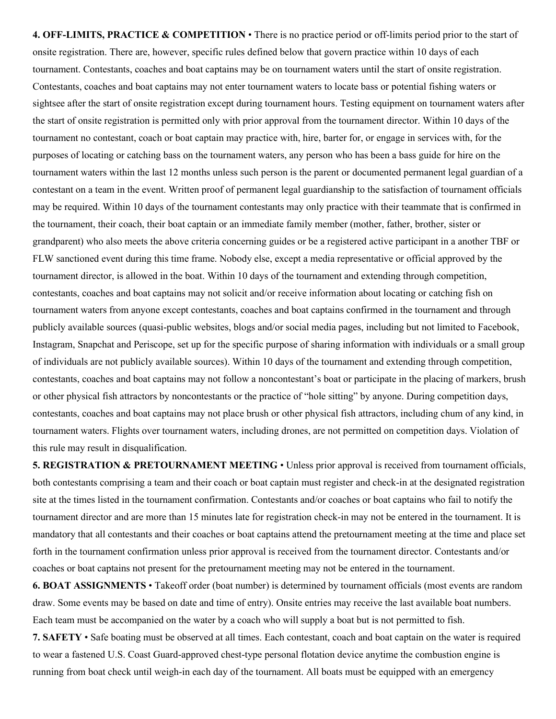**4. OFF-LIMITS, PRACTICE & COMPETITION** • There is no practice period or off-limits period prior to the start of onsite registration. There are, however, specific rules defined below that govern practice within 10 days of each tournament. Contestants, coaches and boat captains may be on tournament waters until the start of onsite registration. Contestants, coaches and boat captains may not enter tournament waters to locate bass or potential fishing waters or sightsee after the start of onsite registration except during tournament hours. Testing equipment on tournament waters after the start of onsite registration is permitted only with prior approval from the tournament director. Within 10 days of the tournament no contestant, coach or boat captain may practice with, hire, barter for, or engage in services with, for the purposes of locating or catching bass on the tournament waters, any person who has been a bass guide for hire on the tournament waters within the last 12 months unless such person is the parent or documented permanent legal guardian of a contestant on a team in the event. Written proof of permanent legal guardianship to the satisfaction of tournament officials may be required. Within 10 days of the tournament contestants may only practice with their teammate that is confirmed in the tournament, their coach, their boat captain or an immediate family member (mother, father, brother, sister or grandparent) who also meets the above criteria concerning guides or be a registered active participant in a another TBF or FLW sanctioned event during this time frame. Nobody else, except a media representative or official approved by the tournament director, is allowed in the boat. Within 10 days of the tournament and extending through competition, contestants, coaches and boat captains may not solicit and/or receive information about locating or catching fish on tournament waters from anyone except contestants, coaches and boat captains confirmed in the tournament and through publicly available sources (quasi-public websites, blogs and/or social media pages, including but not limited to Facebook, Instagram, Snapchat and Periscope, set up for the specific purpose of sharing information with individuals or a small group of individuals are not publicly available sources). Within 10 days of the tournament and extending through competition, contestants, coaches and boat captains may not follow a noncontestant's boat or participate in the placing of markers, brush or other physical fish attractors by noncontestants or the practice of "hole sitting" by anyone. During competition days, contestants, coaches and boat captains may not place brush or other physical fish attractors, including chum of any kind, in tournament waters. Flights over tournament waters, including drones, are not permitted on competition days. Violation of this rule may result in disqualification.

**5. REGISTRATION & PRETOURNAMENT MEETING** • Unless prior approval is received from tournament officials, both contestants comprising a team and their coach or boat captain must register and check-in at the designated registration site at the times listed in the tournament confirmation. Contestants and/or coaches or boat captains who fail to notify the tournament director and are more than 15 minutes late for registration check-in may not be entered in the tournament. It is mandatory that all contestants and their coaches or boat captains attend the pretournament meeting at the time and place set forth in the tournament confirmation unless prior approval is received from the tournament director. Contestants and/or coaches or boat captains not present for the pretournament meeting may not be entered in the tournament.

**6. BOAT ASSIGNMENTS** • Takeoff order (boat number) is determined by tournament officials (most events are random draw. Some events may be based on date and time of entry). Onsite entries may receive the last available boat numbers. Each team must be accompanied on the water by a coach who will supply a boat but is not permitted to fish.

**7. SAFETY** • Safe boating must be observed at all times. Each contestant, coach and boat captain on the water is required to wear a fastened U.S. Coast Guard-approved chest-type personal flotation device anytime the combustion engine is running from boat check until weigh-in each day of the tournament. All boats must be equipped with an emergency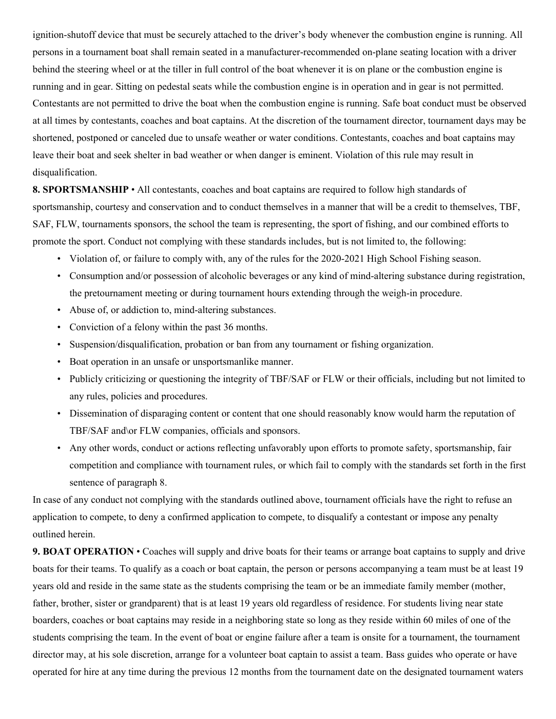ignition-shutoff device that must be securely attached to the driver's body whenever the combustion engine is running. All persons in a tournament boat shall remain seated in a manufacturer-recommended on-plane seating location with a driver behind the steering wheel or at the tiller in full control of the boat whenever it is on plane or the combustion engine is running and in gear. Sitting on pedestal seats while the combustion engine is in operation and in gear is not permitted. Contestants are not permitted to drive the boat when the combustion engine is running. Safe boat conduct must be observed at all times by contestants, coaches and boat captains. At the discretion of the tournament director, tournament days may be shortened, postponed or canceled due to unsafe weather or water conditions. Contestants, coaches and boat captains may leave their boat and seek shelter in bad weather or when danger is eminent. Violation of this rule may result in disqualification.

**8. SPORTSMANSHIP** • All contestants, coaches and boat captains are required to follow high standards of sportsmanship, courtesy and conservation and to conduct themselves in a manner that will be a credit to themselves, TBF, SAF, FLW, tournaments sponsors, the school the team is representing, the sport of fishing, and our combined efforts to promote the sport. Conduct not complying with these standards includes, but is not limited to, the following:

- Violation of, or failure to comply with, any of the rules for the 2020-2021 High School Fishing season.
- Consumption and/or possession of alcoholic beverages or any kind of mind-altering substance during registration, the pretournament meeting or during tournament hours extending through the weigh-in procedure.
- Abuse of, or addiction to, mind-altering substances.
- Conviction of a felony within the past 36 months.
- Suspension/disqualification, probation or ban from any tournament or fishing organization.
- Boat operation in an unsafe or unsportsmanlike manner.
- Publicly criticizing or questioning the integrity of TBF/SAF or FLW or their officials, including but not limited to any rules, policies and procedures.
- Dissemination of disparaging content or content that one should reasonably know would harm the reputation of TBF/SAF and\or FLW companies, officials and sponsors.
- Any other words, conduct or actions reflecting unfavorably upon efforts to promote safety, sportsmanship, fair competition and compliance with tournament rules, or which fail to comply with the standards set forth in the first sentence of paragraph 8.

In case of any conduct not complying with the standards outlined above, tournament officials have the right to refuse an application to compete, to deny a confirmed application to compete, to disqualify a contestant or impose any penalty outlined herein.

**9. BOAT OPERATION** • Coaches will supply and drive boats for their teams or arrange boat captains to supply and drive boats for their teams. To qualify as a coach or boat captain, the person or persons accompanying a team must be at least 19 years old and reside in the same state as the students comprising the team or be an immediate family member (mother, father, brother, sister or grandparent) that is at least 19 years old regardless of residence. For students living near state boarders, coaches or boat captains may reside in a neighboring state so long as they reside within 60 miles of one of the students comprising the team. In the event of boat or engine failure after a team is onsite for a tournament, the tournament director may, at his sole discretion, arrange for a volunteer boat captain to assist a team. Bass guides who operate or have operated for hire at any time during the previous 12 months from the tournament date on the designated tournament waters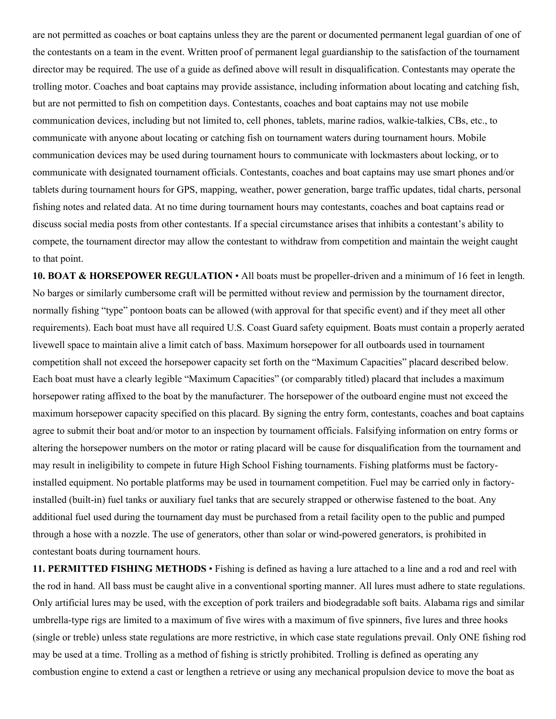are not permitted as coaches or boat captains unless they are the parent or documented permanent legal guardian of one of the contestants on a team in the event. Written proof of permanent legal guardianship to the satisfaction of the tournament director may be required. The use of a guide as defined above will result in disqualification. Contestants may operate the trolling motor. Coaches and boat captains may provide assistance, including information about locating and catching fish, but are not permitted to fish on competition days. Contestants, coaches and boat captains may not use mobile communication devices, including but not limited to, cell phones, tablets, marine radios, walkie-talkies, CBs, etc., to communicate with anyone about locating or catching fish on tournament waters during tournament hours. Mobile communication devices may be used during tournament hours to communicate with lockmasters about locking, or to communicate with designated tournament officials. Contestants, coaches and boat captains may use smart phones and/or tablets during tournament hours for GPS, mapping, weather, power generation, barge traffic updates, tidal charts, personal fishing notes and related data. At no time during tournament hours may contestants, coaches and boat captains read or discuss social media posts from other contestants. If a special circumstance arises that inhibits a contestant's ability to compete, the tournament director may allow the contestant to withdraw from competition and maintain the weight caught to that point.

**10. BOAT & HORSEPOWER REGULATION** • All boats must be propeller-driven and a minimum of 16 feet in length. No barges or similarly cumbersome craft will be permitted without review and permission by the tournament director, normally fishing "type" pontoon boats can be allowed (with approval for that specific event) and if they meet all other requirements). Each boat must have all required U.S. Coast Guard safety equipment. Boats must contain a properly aerated livewell space to maintain alive a limit catch of bass. Maximum horsepower for all outboards used in tournament competition shall not exceed the horsepower capacity set forth on the "Maximum Capacities" placard described below. Each boat must have a clearly legible "Maximum Capacities" (or comparably titled) placard that includes a maximum horsepower rating affixed to the boat by the manufacturer. The horsepower of the outboard engine must not exceed the maximum horsepower capacity specified on this placard. By signing the entry form, contestants, coaches and boat captains agree to submit their boat and/or motor to an inspection by tournament officials. Falsifying information on entry forms or altering the horsepower numbers on the motor or rating placard will be cause for disqualification from the tournament and may result in ineligibility to compete in future High School Fishing tournaments. Fishing platforms must be factoryinstalled equipment. No portable platforms may be used in tournament competition. Fuel may be carried only in factoryinstalled (built-in) fuel tanks or auxiliary fuel tanks that are securely strapped or otherwise fastened to the boat. Any additional fuel used during the tournament day must be purchased from a retail facility open to the public and pumped through a hose with a nozzle. The use of generators, other than solar or wind-powered generators, is prohibited in contestant boats during tournament hours.

**11. PERMITTED FISHING METHODS** • Fishing is defined as having a lure attached to a line and a rod and reel with the rod in hand. All bass must be caught alive in a conventional sporting manner. All lures must adhere to state regulations. Only artificial lures may be used, with the exception of pork trailers and biodegradable soft baits. Alabama rigs and similar umbrella-type rigs are limited to a maximum of five wires with a maximum of five spinners, five lures and three hooks (single or treble) unless state regulations are more restrictive, in which case state regulations prevail. Only ONE fishing rod may be used at a time. Trolling as a method of fishing is strictly prohibited. Trolling is defined as operating any combustion engine to extend a cast or lengthen a retrieve or using any mechanical propulsion device to move the boat as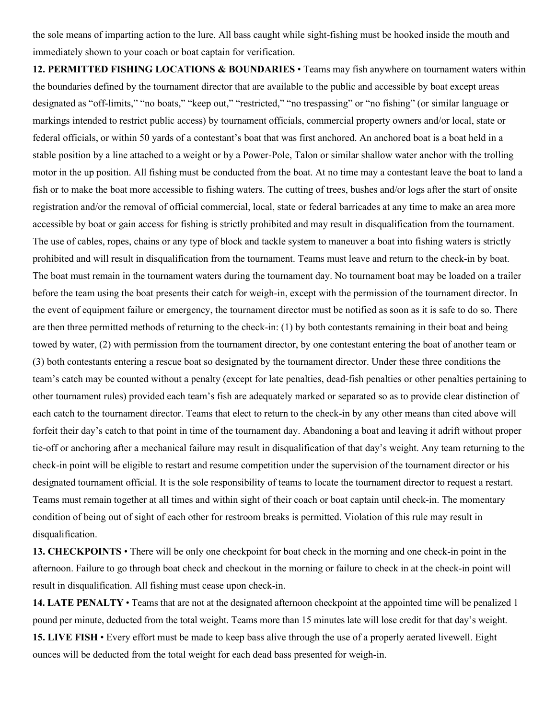the sole means of imparting action to the lure. All bass caught while sight-fishing must be hooked inside the mouth and immediately shown to your coach or boat captain for verification.

**12. PERMITTED FISHING LOCATIONS & BOUNDARIES** • Teams may fish anywhere on tournament waters within the boundaries defined by the tournament director that are available to the public and accessible by boat except areas designated as "off-limits," "no boats," "keep out," "restricted," "no trespassing" or "no fishing" (or similar language or markings intended to restrict public access) by tournament officials, commercial property owners and/or local, state or federal officials, or within 50 yards of a contestant's boat that was first anchored. An anchored boat is a boat held in a stable position by a line attached to a weight or by a Power-Pole, Talon or similar shallow water anchor with the trolling motor in the up position. All fishing must be conducted from the boat. At no time may a contestant leave the boat to land a fish or to make the boat more accessible to fishing waters. The cutting of trees, bushes and/or logs after the start of onsite registration and/or the removal of official commercial, local, state or federal barricades at any time to make an area more accessible by boat or gain access for fishing is strictly prohibited and may result in disqualification from the tournament. The use of cables, ropes, chains or any type of block and tackle system to maneuver a boat into fishing waters is strictly prohibited and will result in disqualification from the tournament. Teams must leave and return to the check-in by boat. The boat must remain in the tournament waters during the tournament day. No tournament boat may be loaded on a trailer before the team using the boat presents their catch for weigh-in, except with the permission of the tournament director. In the event of equipment failure or emergency, the tournament director must be notified as soon as it is safe to do so. There are then three permitted methods of returning to the check-in: (1) by both contestants remaining in their boat and being towed by water, (2) with permission from the tournament director, by one contestant entering the boat of another team or (3) both contestants entering a rescue boat so designated by the tournament director. Under these three conditions the team's catch may be counted without a penalty (except for late penalties, dead-fish penalties or other penalties pertaining to other tournament rules) provided each team's fish are adequately marked or separated so as to provide clear distinction of each catch to the tournament director. Teams that elect to return to the check-in by any other means than cited above will forfeit their day's catch to that point in time of the tournament day. Abandoning a boat and leaving it adrift without proper tie-off or anchoring after a mechanical failure may result in disqualification of that day's weight. Any team returning to the check-in point will be eligible to restart and resume competition under the supervision of the tournament director or his designated tournament official. It is the sole responsibility of teams to locate the tournament director to request a restart. Teams must remain together at all times and within sight of their coach or boat captain until check-in. The momentary condition of being out of sight of each other for restroom breaks is permitted. Violation of this rule may result in disqualification.

**13. CHECKPOINTS** • There will be only one checkpoint for boat check in the morning and one check-in point in the afternoon. Failure to go through boat check and checkout in the morning or failure to check in at the check-in point will result in disqualification. All fishing must cease upon check-in.

**14. LATE PENALTY** • Teams that are not at the designated afternoon checkpoint at the appointed time will be penalized 1 pound per minute, deducted from the total weight. Teams more than 15 minutes late will lose credit for that day's weight. **15. LIVE FISH** • Every effort must be made to keep bass alive through the use of a properly aerated livewell. Eight ounces will be deducted from the total weight for each dead bass presented for weigh-in.